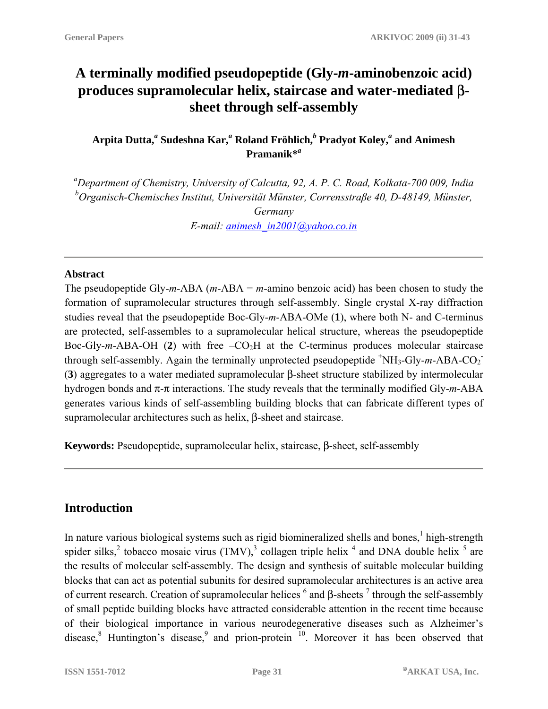# **A terminally modified pseudopeptide (Gly-***m***-aminobenzoic acid) produces supramolecular helix, staircase and water-mediated** β**sheet through self-assembly**

**Arpita Dutta,***<sup>a</sup>*  **Sudeshna Kar,***<sup>a</sup>* **Roland Fröhlich,***<sup>b</sup>*  **Pradyot Koley,***<sup>a</sup>* **and Animesh Pramanik\****<sup>a</sup>*

*a Department of Chemistry, University of Calcutta, 92, A. P. C. Road, Kolkata-700 009, India b Organisch-Chemisches Institut, Universität Münster, Corrensstraβe 40, D-48149, Münster, Germany E-mail: [animesh\\_in2001@yahoo.co.in](mailto:animesh_in2001@yahoo.co.in)*

#### **Abstract**

The pseudopeptide Gly-*m*-ABA (*m*-ABA = *m*-amino benzoic acid) has been chosen to study the formation of supramolecular structures through self-assembly. Single crystal X-ray diffraction studies reveal that the pseudopeptide Boc-Gly-*m*-ABA-OMe (**1**), where both N- and C-terminus are protected, self-assembles to a supramolecular helical structure, whereas the pseudopeptide Boc-Gly- $m$ -ABA-OH (2) with free  $-CO<sub>2</sub>H$  at the C-terminus produces molecular staircase through self-assembly. Again the terminally unprotected pseudopeptide  $^+\text{NH}_3\text{-Gly-}m\text{-}ABA\text{-}CO_2^-$ (**3**) aggregates to a water mediated supramolecular β-sheet structure stabilized by intermolecular hydrogen bonds and π-π interactions. The study reveals that the terminally modified Gly-*m*-ABA generates various kinds of self-assembling building blocks that can fabricate different types of supramolecular architectures such as helix, β-sheet and staircase.

**Keywords:** Pseudopeptide, supramolecular helix, staircase, β-sheet, self-assembly

# **Introduction**

In nature various biological systems such as rigid biomineralized shells and bones,  $\frac{1}{n}$  high-strength spider silks,<sup>2</sup> tobacco mosaic virus (TMV),<sup>3</sup> collagen triple helix  $^4$  and DNA double helix  $^5$  are the results of molecular self-assembly. The design and synthesis of suitable molecular building blocks that can act as potential subunits for desired supramolecular architectures is an active area of current research. Creation of supramolecular helices  $<sup>6</sup>$  and β-sheets  $<sup>7</sup>$  through the self-assembly</sup></sup> of small peptide building blocks have attracted considerable attention in the recent time because of their biological importance in various neurodegenerative diseases such as Alzheimer's disease, <sup>8</sup> Huntington's disease, <sup>9</sup> and prion-protein  $10$ . Moreover it has been observed that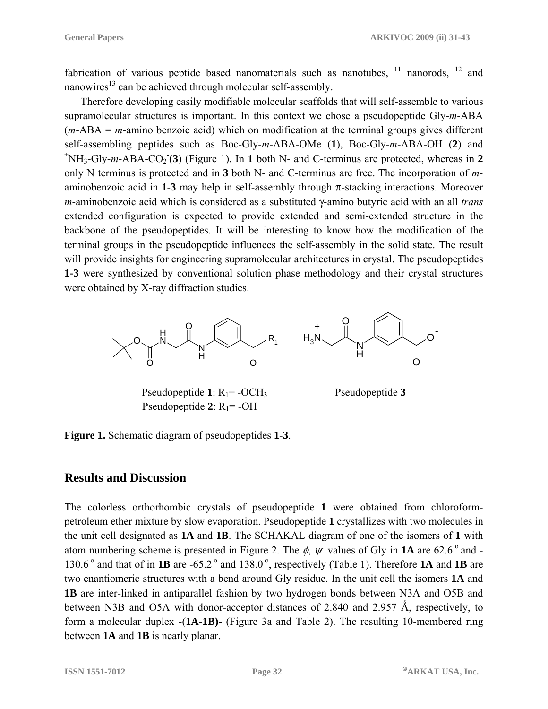fabrication of various peptide based nanomaterials such as nanotubes,  $11$  nanorods,  $12$  and nanowires<sup>13</sup> can be achieved through molecular self-assembly.

Therefore developing easily modifiable molecular scaffolds that will self-assemble to various supramolecular structures is important. In this context we chose a pseudopeptide Gly-*m*-ABA (*m*-ABA = *m*-amino benzoic acid) which on modification at the terminal groups gives different self-assembling peptides such as Boc-Gly-*m*-ABA-OMe (**1**), Boc-Gly-*m*-ABA-OH (**2**) and + NH<sub>3</sub>-Gly-m-ABA-CO<sub>2</sub><sup>(3)</sup> (Figure 1). In 1 both N- and C-terminus are protected, whereas in 2 only N terminus is protected and in **3** both N- and C-terminus are free. The incorporation of *m*aminobenzoic acid in  $1-3$  may help in self-assembly through  $\pi$ -stacking interactions. Moreover *m*-aminobenzoic acid which is considered as a substituted γ-amino butyric acid with an all *trans* extended configuration is expected to provide extended and semi-extended structure in the backbone of the pseudopeptides. It will be interesting to know how the modification of the terminal groups in the pseudopeptide influences the self-assembly in the solid state. The result will provide insights for engineering supramolecular architectures in crystal. The pseudopeptides **1-3** were synthesized by conventional solution phase methodology and their crystal structures were obtained by X-ray diffraction studies.



Pseudopeptide 1: R<sub>1</sub>= -OCH<sub>3</sub> Pseudopeptide 3 Pseudopeptide  $2$ :  $R_1$ = -OH

**Figure 1.** Schematic diagram of pseudopeptides **1**-**3**.

#### **Results and Discussion**

The colorless orthorhombic crystals of pseudopeptide **1** were obtained from chloroformpetroleum ether mixture by slow evaporation. Pseudopeptide **1** crystallizes with two molecules in the unit cell designated as **1A** and **1B**. The SCHAKAL diagram of one of the isomers of **1** with atom numbering scheme is presented in Figure 2. The  $\phi$ ,  $\psi$  values of Gly in **1A** are 62.6<sup>°</sup> and -130.6 o and that of in **1B** are -65.2 o and 138.0 o, respectively (Table 1). Therefore **1A** and **1B** are two enantiomeric structures with a bend around Gly residue. In the unit cell the isomers **1A** and **1B** are inter-linked in antiparallel fashion by two hydrogen bonds between N3A and O5B and between N3B and O5A with donor-acceptor distances of 2.840 and 2.957  $\AA$ , respectively, to form a molecular duplex -(**1A**-**1B)-** (Figure 3a and Table 2). The resulting 10-membered ring between **1A** and **1B** is nearly planar.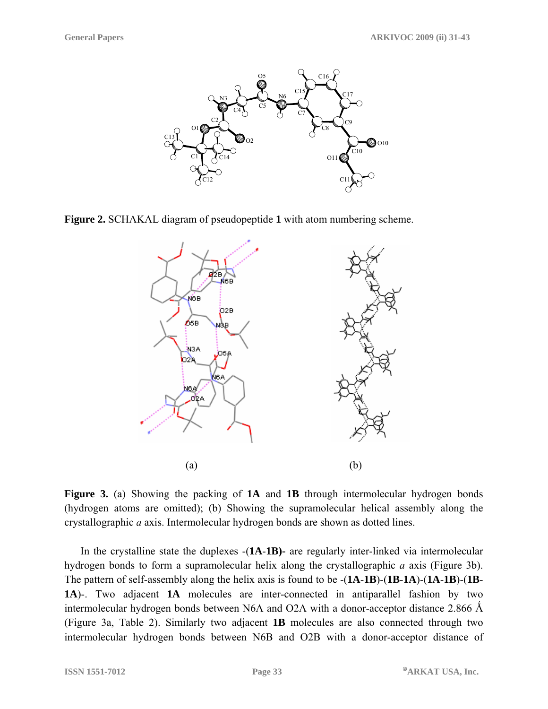

**Figure 2.** SCHAKAL diagram of pseudopeptide **1** with atom numbering scheme.



**Figure 3.** (a) Showing the packing of **1A** and **1B** through intermolecular hydrogen bonds (hydrogen atoms are omitted); (b) Showing the supramolecular helical assembly along the crystallographic *a* axis. Intermolecular hydrogen bonds are shown as dotted lines.

In the crystalline state the duplexes -(**1A**-**1B)-** are regularly inter-linked via intermolecular hydrogen bonds to form a supramolecular helix along the crystallographic *a* axis (Figure 3b). The pattern of self-assembly along the helix axis is found to be -(**1A**-**1B**)-(**1B**-**1A**)-(**1A**-**1B**)-(**1B**-**1A**)-. Two adjacent **1A** molecules are inter-connected in antiparallel fashion by two intermolecular hydrogen bonds between N6A and O2A with a donor-acceptor distance  $2.866 \text{ Å}$ (Figure 3a, Table 2). Similarly two adjacent **1B** molecules are also connected through two intermolecular hydrogen bonds between N6B and O2B with a donor-acceptor distance of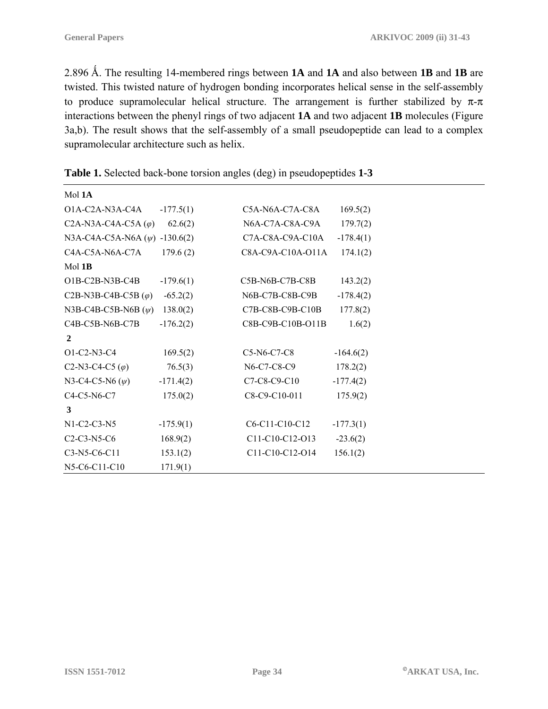2.896 Ǻ. The resulting 14-membered rings between **1A** and **1A** and also between **1B** and **1B** are twisted. This twisted nature of hydrogen bonding incorporates helical sense in the self-assembly to produce supramolecular helical structure. The arrangement is further stabilized by  $\pi$ - $\pi$ interactions between the phenyl rings of two adjacent **1A** and two adjacent **1B** molecules (Figure 3a,b). The result shows that the self-assembly of a small pseudopeptide can lead to a complex supramolecular architecture such as helix.

| Mol 1A                                                                          |             |                   |             |
|---------------------------------------------------------------------------------|-------------|-------------------|-------------|
| O1A-C2A-N3A-C4A                                                                 | $-177.5(1)$ | C5A-N6A-C7A-C8A   | 169.5(2)    |
| C <sub>2</sub> A-N <sub>3</sub> A-C <sub>4</sub> A-C <sub>5</sub> A $(\varphi)$ | 62.6(2)     | N6A-C7A-C8A-C9A   | 179.7(2)    |
| N3A-C4A-C5A-N6A $(\psi)$ -130.6(2)                                              |             | C7A-C8A-C9A-C10A  | $-178.4(1)$ |
| C4A-C5A-N6A-C7A                                                                 | 179.6(2)    | C8A-C9A-C10A-O11A | 174.1(2)    |
| $Mol$ 1B                                                                        |             |                   |             |
| O1B-C2B-N3B-C4B                                                                 | $-179.6(1)$ | C5B-N6B-C7B-C8B   | 143.2(2)    |
| C <sub>2</sub> B-N <sub>3</sub> B-C <sub>4</sub> B-C <sub>5</sub> B $(\varphi)$ | $-65.2(2)$  | N6B-C7B-C8B-C9B   | $-178.4(2)$ |
| N3B-C4B-C5B-N6B $(\psi)$                                                        | 138.0(2)    | C7B-C8B-C9B-C10B  | 177.8(2)    |
| C4B-C5B-N6B-C7B                                                                 | $-176.2(2)$ | C8B-C9B-C10B-O11B | 1.6(2)      |
| $\overline{2}$                                                                  |             |                   |             |
| O1-C2-N3-C4                                                                     | 169.5(2)    | C5-N6-C7-C8       | $-164.6(2)$ |
| C <sub>2</sub> -N <sub>3</sub> -C <sub>4</sub> -C <sub>5</sub> $(\varphi)$      | 76.5(3)     | N6-C7-C8-C9       | 178.2(2)    |
| N3-C4-C5-N6 $(\psi)$                                                            | $-171.4(2)$ | C7-C8-C9-C10      | $-177.4(2)$ |
| C4-C5-N6-C7                                                                     | 175.0(2)    | C8-C9-C10-011     | 175.9(2)    |
| 3                                                                               |             |                   |             |
| N1-C2-C3-N5                                                                     | $-175.9(1)$ | C6-C11-C10-C12    | $-177.3(1)$ |
| $C2-C3-N5-C6$                                                                   | 168.9(2)    | C11-C10-C12-O13   | $-23.6(2)$  |
| C3-N5-C6-C11                                                                    | 153.1(2)    | C11-C10-C12-O14   | 156.1(2)    |
| N5-C6-C11-C10                                                                   | 171.9(1)    |                   |             |

**Table 1.** Selected back-bone torsion angles (deg) in pseudopeptides **1-3**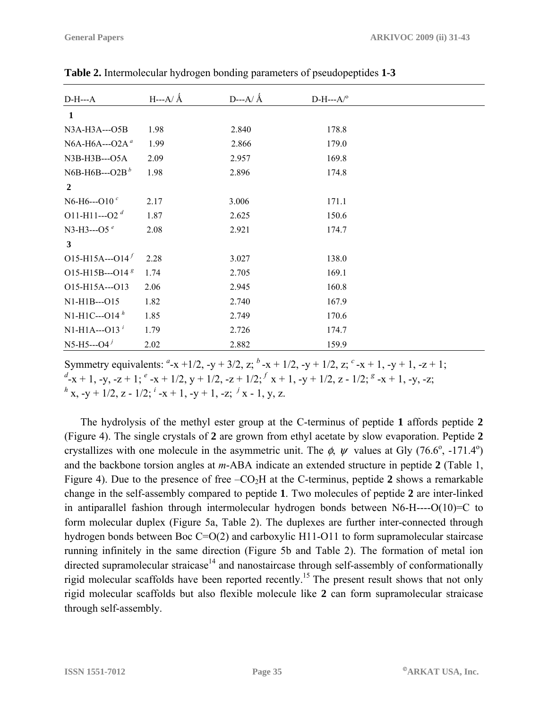| $D-H--A$                   | $H$ ---A/ $\AA$ | D---A/ $\AA$ | $D-H--A/°$ |  |
|----------------------------|-----------------|--------------|------------|--|
| $\mathbf{1}$               |                 |              |            |  |
| N3A-H3A---O5B              | 1.98            | 2.840        | 178.8      |  |
| N6A-H6A--- $O2A^a$         | 1.99            | 2.866        | 179.0      |  |
| N3B-H3B---O5A              | 2.09            | 2.957        | 169.8      |  |
| N6B-H6B---O2B $^b$         | 1.98            | 2.896        | 174.8      |  |
| $\overline{2}$             |                 |              |            |  |
| N6-H6--- $O10^{c}$         | 2.17            | 3.006        | 171.1      |  |
| O11-H11---O2 $^d$          | 1.87            | 2.625        | 150.6      |  |
| N3-H3---O5 $e$             | 2.08            | 2.921        | 174.7      |  |
| 3                          |                 |              |            |  |
| $O15-H15A-O14$             | 2.28            | 3.027        | 138.0      |  |
| O15-H15B---O14 $8$         | 1.74            | 2.705        | 169.1      |  |
| O15-H15A---O13             | 2.06            | 2.945        | 160.8      |  |
| N1-H1B---015               | 1.82            | 2.740        | 167.9      |  |
| $N1-H1C--O14h$             | 1.85            | 2.749        | 170.6      |  |
| $N1-H1A--O13$ <sup>i</sup> | 1.79            | 2.726        | 174.7      |  |
| $N5-H5--O4^j$              | 2.02            | 2.882        | 159.9      |  |

**Table 2.** Intermolecular hydrogen bonding parameters of pseudopeptides **1-3** 

Symmetry equivalents:  $a^2 - x + 1/2$ ,  $-y + 3/2$ ,  $z^2 - x + 1/2$ ,  $-y + 1/2$ ,  $z^2 - x + 1$ ,  $-y + 1$ ,  $-z + 1$ ; *d* -x + 1, -y, -z + 1; *<sup>e</sup>* -x + 1/2, y + 1/2, -z + 1/2; *<sup>f</sup>*x + 1, -y + 1/2, z - 1/2; *<sup>g</sup>* -x + 1, -y, -z;  $h^{h}$  x, -y + 1/2, z - 1/2;  $i^{i}$  -x + 1, -y + 1, -z;  $j^{i}$  x - 1, y, z.

The hydrolysis of the methyl ester group at the C-terminus of peptide **1** affords peptide **2** (Figure 4). The single crystals of **2** are grown from ethyl acetate by slow evaporation. Peptide **2**  crystallizes with one molecule in the asymmetric unit. The  $\phi$ ,  $\psi$  values at Gly (76.6°, -171.4°) and the backbone torsion angles at *m*-ABA indicate an extended structure in peptide **2** (Table 1, Figure 4). Due to the presence of free  $-CO<sub>2</sub>H$  at the C-terminus, peptide 2 shows a remarkable change in the self-assembly compared to peptide **1**. Two molecules of peptide **2** are inter-linked in antiparallel fashion through intermolecular hydrogen bonds between N6-H----O(10)=C to form molecular duplex (Figure 5a, Table 2). The duplexes are further inter-connected through hydrogen bonds between Boc C=O(2) and carboxylic H11-O11 to form supramolecular staircase running infinitely in the same direction (Figure 5b and Table 2). The formation of metal ion directed supramolecular straicase<sup>14</sup> and nanostaircase through self-assembly of conformationally rigid molecular scaffolds have been reported recently.<sup>15</sup> The present result shows that not only rigid molecular scaffolds but also flexible molecule like **2** can form supramolecular straicase through self-assembly.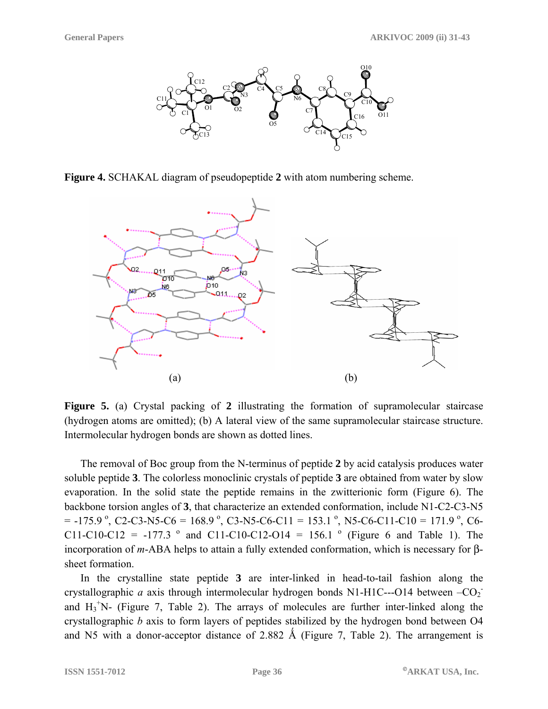

**Figure 4.** SCHAKAL diagram of pseudopeptide **2** with atom numbering scheme.



**Figure 5.** (a) Crystal packing of **2** illustrating the formation of supramolecular staircase (hydrogen atoms are omitted); (b) A lateral view of the same supramolecular staircase structure. Intermolecular hydrogen bonds are shown as dotted lines.

The removal of Boc group from the N-terminus of peptide **2** by acid catalysis produces water soluble peptide **3**. The colorless monoclinic crystals of peptide **3** are obtained from water by slow evaporation. In the solid state the peptide remains in the zwitterionic form (Figure 6). The backbone torsion angles of **3**, that characterize an extended conformation, include N1-C2-C3-N5  $= -175.9$  °, C2-C3-N5-C6 = 168.9 °, C3-N5-C6-C11 = 153.1 °, N5-C6-C11-C10 = 171.9 °, C6-C11-C10-C12 = -177.3  $\degree$  and C11-C10-C12-O14 = 156.1  $\degree$  (Figure 6 and Table 1). The incorporation of *m*-ABA helps to attain a fully extended conformation, which is necessary for βsheet formation.

In the crystalline state peptide **3** are inter-linked in head-to-tail fashion along the crystallographic *a* axis through intermolecular hydrogen bonds N1-H1C---O14 between  $-CO<sub>2</sub>$ . and  $H_3$ <sup>+</sup>N- (Figure 7, Table 2). The arrays of molecules are further inter-linked along the crystallographic *b* axis to form layers of peptides stabilized by the hydrogen bond between O4 and N5 with a donor-acceptor distance of 2.882 Å (Figure 7, Table 2). The arrangement is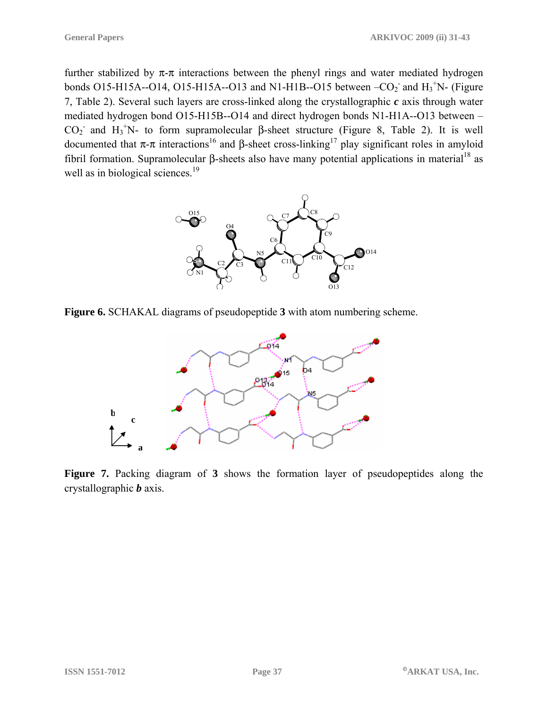further stabilized by  $\pi$ - $\pi$  interactions between the phenyl rings and water mediated hydrogen bonds O15-H15A--O14, O15-H15A--O13 and N1-H1B--O15 between  $-CO<sub>2</sub>$  and H<sub>3</sub><sup>+</sup>N- (Figure 7, Table 2). Several such layers are cross-linked along the crystallographic *c* axis through water mediated hydrogen bond O15-H15B--O14 and direct hydrogen bonds N1-H1A--O13 between –  $CO<sub>2</sub>$  and H<sub>3</sub><sup>+</sup>N- to form supramolecular β-sheet structure (Figure 8, Table 2). It is well documented that  $π$ -π interactions<sup>16</sup> and β-sheet cross-linking<sup>17</sup> play significant roles in amyloid fibril formation. Supramolecular β-sheets also have many potential applications in material<sup>18</sup> as well as in biological sciences.<sup>19</sup>



**Figure 6.** SCHAKAL diagrams of pseudopeptide **3** with atom numbering scheme.



**Figure 7.** Packing diagram of **3** shows the formation layer of pseudopeptides along the crystallographic *b* axis.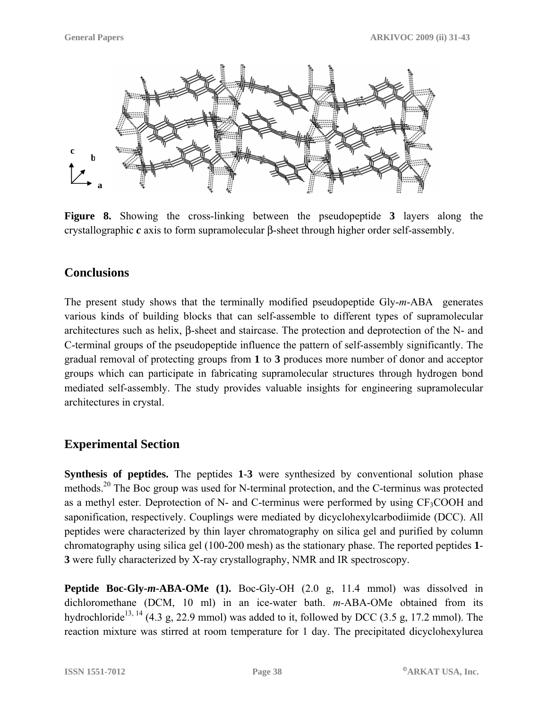

**Figure 8.** Showing the cross-linking between the pseudopeptide **3** layers along the crystallographic *c* axis to form supramolecular β-sheet through higher order self-assembly.

# **Conclusions**

The present study shows that the terminally modified pseudopeptide Gly-*m*-ABA generates various kinds of building blocks that can self-assemble to different types of supramolecular architectures such as helix, β-sheet and staircase. The protection and deprotection of the N- and C-terminal groups of the pseudopeptide influence the pattern of self-assembly significantly. The gradual removal of protecting groups from **1** to **3** produces more number of donor and acceptor groups which can participate in fabricating supramolecular structures through hydrogen bond mediated self-assembly. The study provides valuable insights for engineering supramolecular architectures in crystal.

# **Experimental Section**

**Synthesis of peptides.** The peptides 1-3 were synthesized by conventional solution phase methods.<sup>20</sup> The Boc group was used for N-terminal protection, and the C-terminus was protected as a methyl ester. Deprotection of  $N$ - and C-terminus were performed by using  $CF_3COOH$  and saponification, respectively. Couplings were mediated by dicyclohexylcarbodiimide (DCC). All peptides were characterized by thin layer chromatography on silica gel and purified by column chromatography using silica gel (100-200 mesh) as the stationary phase. The reported peptides **1**- **3** were fully characterized by X-ray crystallography, NMR and IR spectroscopy.

**Peptide Boc-Gly-***m***-ABA-OMe (1).** Boc-Gly-OH (2.0 g, 11.4 mmol) was dissolved in dichloromethane (DCM, 10 ml) in an ice-water bath. *m-*ABA-OMe obtained from its hydrochloride<sup>13, 14</sup> (4.3 g, 22.9 mmol) was added to it, followed by DCC (3.5 g, 17.2 mmol). The reaction mixture was stirred at room temperature for 1 day. The precipitated dicyclohexylurea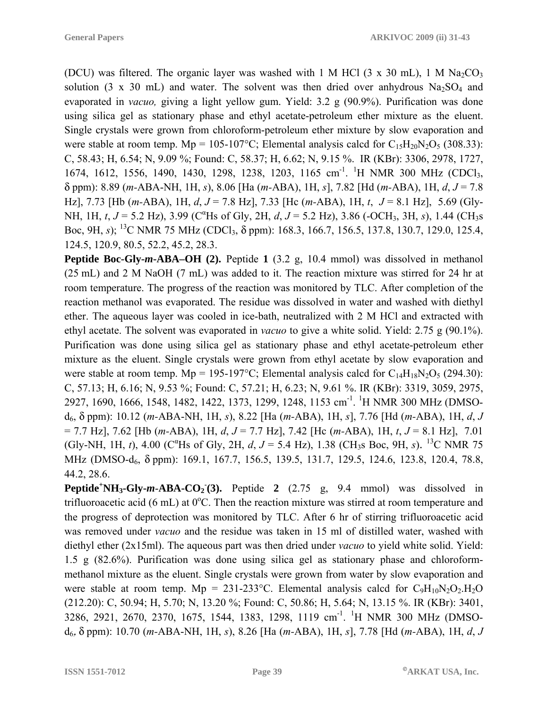(DCU) was filtered. The organic layer was washed with 1 M HCl  $(3 \times 30 \text{ mL})$ , 1 M Na<sub>2</sub>CO<sub>3</sub> solution (3 x 30 mL) and water. The solvent was then dried over anhydrous  $Na<sub>2</sub>SO<sub>4</sub>$  and evaporated in *vacuo,* giving a light yellow gum. Yield: 3.2 g (90.9%). Purification was done using silica gel as stationary phase and ethyl acetate-petroleum ether mixture as the eluent. Single crystals were grown from chloroform-petroleum ether mixture by slow evaporation and were stable at room temp. Mp = 105-107°C; Elemental analysis calcd for  $C_1sH_{20}N_2O_5$  (308.33): C, 58.43; H, 6.54; N, 9.09 %; Found: C, 58.37; H, 6.62; N, 9.15 %. IR (KBr): 3306, 2978, 1727, 1674, 1612, 1556, 1490, 1430, 1298, 1238, 1203, 1165 cm<sup>-1</sup>. <sup>1</sup>H NMR 300 MHz (CDCl<sub>3</sub>, δ ppm): 8.89 (*m-*ABA-NH, 1H, *s*), 8.06 [Ha (*m-*ABA), 1H, *s*], 7.82 [Hd (*m-*ABA), 1H, *d*, *J* = 7.8 Hz], 7.73 [Hb (*m-*ABA), 1H, *d*, *J* = 7.8 Hz], 7.33 [Hc (*m-*ABA), 1H, *t*, *J* = 8.1 Hz], 5.69 (Gly-NH, 1H, *t*,  $J = 5.2$  Hz), 3.99 (C<sup>a</sup>Hs of Gly, 2H, *d*,  $J = 5.2$  Hz), 3.86 (-OCH<sub>3</sub>, 3H, *s*), 1.44 (CH<sub>3</sub>s Boc, 9H, *s*); <sup>13</sup>C NMR 75 MHz (CDCl<sub>3</sub>, δ ppm): 168.3, 166.7, 156.5, 137.8, 130.7, 129.0, 125.4, 124.5, 120.9, 80.5, 52.2, 45.2, 28.3.

**Peptide Boc-Gly-***m***-ABA–OH (2).** Peptide **1** (3.2 g, 10.4 mmol) was dissolved in methanol (25 mL) and 2 M NaOH (7 mL) was added to it. The reaction mixture was stirred for 24 hr at room temperature. The progress of the reaction was monitored by TLC. After completion of the reaction methanol was evaporated. The residue was dissolved in water and washed with diethyl ether. The aqueous layer was cooled in ice-bath, neutralized with 2 M HCl and extracted with ethyl acetate. The solvent was evaporated in *vacuo* to give a white solid. Yield: 2.75 g (90.1%). Purification was done using silica gel as stationary phase and ethyl acetate-petroleum ether mixture as the eluent. Single crystals were grown from ethyl acetate by slow evaporation and were stable at room temp. Mp = 195-197°C; Elemental analysis calcd for  $C_{14}H_{18}N_2O_5$  (294.30): C, 57.13; H, 6.16; N, 9.53 %; Found: C, 57.21; H, 6.23; N, 9.61 %. IR (KBr): 3319, 3059, 2975, 2927, 1690, 1666, 1548, 1482, 1422, 1373, 1299, 1248, 1153 cm<sup>-1</sup>. <sup>1</sup>H NMR 300 MHz (DMSOd6, δ ppm): 10.12 (*m-*ABA-NH, 1H, *s*), 8.22 [Ha (*m-*ABA), 1H, *s*], 7.76 [Hd (*m-*ABA), 1H, *d*, *J* = 7.7 Hz], 7.62 [Hb (*m-*ABA), 1H, *d*, *J* = 7.7 Hz], 7.42 [Hc (*m-*ABA), 1H, *t*, *J* = 8.1 Hz], 7.01 (Gly-NH, 1H, *t*), 4.00 (C<sup>a</sup>Hs of Gly, 2H, *d*, *J* = 5.4 Hz), 1.38 (CH<sub>3</sub>s Boc, 9H, *s*). <sup>13</sup>C NMR 75 MHz (DMSO-d<sub>6</sub>, δ ppm): 169.1, 167.7, 156.5, 139.5, 131.7, 129.5, 124.6, 123.8, 120.4, 78.8, 44.2, 28.6.

**Peptide<sup>+</sup>NH<sub>3</sub>-Gly-m-ABA-CO<sub>2</sub><sup>(3)</sup>.** Peptide 2 (2.75 g, 9.4 mmol) was dissolved in trifluoroacetic acid (6 mL) at  $0^{\circ}$ C. Then the reaction mixture was stirred at room temperature and the progress of deprotection was monitored by TLC. After 6 hr of stirring trifluoroacetic acid was removed under *vacuo* and the residue was taken in 15 ml of distilled water, washed with diethyl ether (2x15ml). The aqueous part was then dried under *vacuo* to yield white solid. Yield: 1.5 g (82.6%). Purification was done using silica gel as stationary phase and chloroformmethanol mixture as the eluent. Single crystals were grown from water by slow evaporation and were stable at room temp.  $Mp = 231-233$ °C. Elemental analysis calcd for  $C_9H_{10}N_2O_2.H_2O$ (212.20): C, 50.94; H, 5.70; N, 13.20 %; Found: C, 50.86; H, 5.64; N, 13.15 %. IR (KBr): 3401, 3286, 2921, 2670, 2370, 1675, 1544, 1383, 1298, 1119 cm<sup>-1</sup>. <sup>1</sup>H NMR 300 MHz (DMSOd6, δ ppm): 10.70 (*m-*ABA-NH, 1H, *s*), 8.26 [Ha (*m-*ABA), 1H, *s*], 7.78 [Hd (*m-*ABA), 1H, *d*, *J*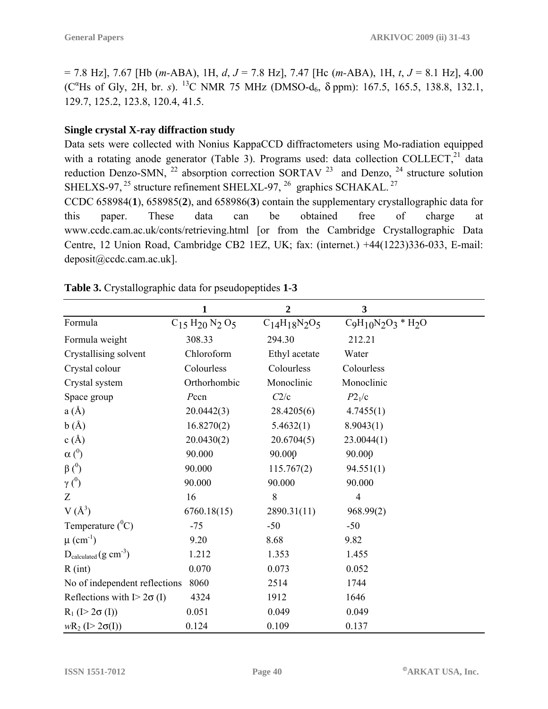= 7.8 Hz], 7.67 [Hb (*m-*ABA), 1H, *d*, *J* = 7.8 Hz], 7.47 [Hc (*m-*ABA), 1H, *t*, *J* = 8.1 Hz], 4.00 (C<sup>α</sup>Hs of Gly, 2H, br. *s*). <sup>13</sup>C NMR 75 MHz (DMSO-d<sub>6</sub>, δ ppm): 167.5, 165.5, 138.8, 132.1, 129.7, 125.2, 123.8, 120.4, 41.5.

#### **Single crystal X-ray diffraction study**

Data sets were collected with Nonius KappaCCD diffractometers using Mo-radiation equipped with a rotating anode generator (Table 3). Programs used: data collection COLLECT,<sup>21</sup> data reduction Denzo-SMN,  $^{22}$  absorption correction SORTAV  $^{23}$  and Denzo,  $^{24}$  structure solution SHELXS-97,  $^{25}$  structure refinement SHELXL-97,  $^{26}$  graphics SCHAKAL.  $^{27}$ 

CCDC 658984(**1**), 658985(**2**), and 658986(**3**) contain the supplementary crystallographic data for this paper. These data can be obtained free of charge at [www.ccdc.cam.ac.uk/conts/retrieving.html](http://www.ccdc.cam.ac.uk/conts/retrieving.html) [or from the Cambridge Crystallographic Data Centre, 12 Union Road, Cambridge CB2 1EZ, UK; fax: (internet.) +44(1223)336-033, E-mail: deposit@ccdc.cam.ac.uk].

|                                   | 1                    | $\overline{2}$           | 3                        |
|-----------------------------------|----------------------|--------------------------|--------------------------|
| Formula                           | $C_{15}H_{20}N_2O_5$ | $C_{14}H_{18}N_{2}O_{5}$ | $C_9H_{10}N_2O_3 * H_2O$ |
| Formula weight                    | 308.33               | 294.30                   | 212.21                   |
| Crystallising solvent             | Chloroform           | Ethyl acetate            | Water                    |
| Crystal colour                    | Colourless           | Colourless               | Colourless               |
| Crystal system                    | Orthorhombic         | Monoclinic               | Monoclinic               |
| Space group                       | Pccn                 | C2/c                     | P2 <sub>1</sub> /c       |
| a(A)                              | 20.0442(3)           | 28.4205(6)               | 4.7455(1)                |
| b(A)                              | 16.8270(2)           | 5.4632(1)                | 8.9043(1)                |
| c(A)                              | 20.0430(2)           | 20.6704(5)               | 23.0044(1)               |
| $\alpha$ ( <sup>0</sup> )         | 90.000               | 90.000                   | 90.000                   |
| $\beta$ ( $^{0}$ )                | 90.000               | 115.767(2)               | 94.551(1)                |
| $\gamma$ ( <sup>0</sup> )         | 90.000               | 90.000                   | 90.000                   |
| Z                                 | 16                   | 8                        | $\overline{4}$           |
| $V(A^3)$                          | 6760.18(15)          | 2890.31(11)              | 968.99(2)                |
| Temperature $(^0C)$               | $-75$                | $-50$                    | $-50$                    |
| $\mu$ (cm <sup>-1</sup> )         | 9.20                 | 8.68                     | 9.82                     |
| $D_{calculated} (g cm-3)$         | 1.212                | 1.353                    | 1.455                    |
| R(int)                            | 0.070                | 0.073                    | 0.052                    |
| No of independent reflections     | 8060                 | 2514                     | 1744                     |
| Reflections with $I > 2\sigma(I)$ | 4324                 | 1912                     | 1646                     |
| $R_1$ (I > 2 $\sigma$ (I))        | 0.051                | 0.049                    | 0.049                    |
| $wR_2$ (I > 2 $\sigma(I)$ )       | 0.124                | 0.109                    | 0.137                    |

**Table 3.** Crystallographic data for pseudopeptides **1**-**3**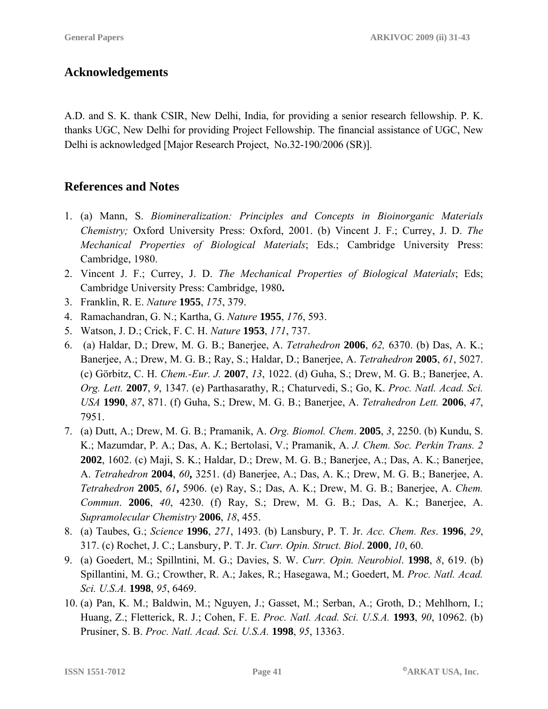## **Acknowledgements**

A.D. and S. K. thank CSIR, New Delhi, India, for providing a senior research fellowship. P. K. thanks UGC, New Delhi for providing Project Fellowship. The financial assistance of UGC, New Delhi is acknowledged [Major Research Project, No.32-190/2006 (SR)].

## **References and Notes**

- 1. (a) Mann, S. *Biomineralization: Principles and Concepts in Bioinorganic Materials Chemistry;* Oxford University Press: Oxford, 2001. (b) Vincent J. F.; Currey, J. D. *The Mechanical Properties of Biological Materials*; Eds.; Cambridge University Press: Cambridge, 1980.
- 2. Vincent J. F.; Currey, J. D. *The Mechanical Properties of Biological Materials*; Eds; Cambridge University Press: Cambridge, 1980**.**
- 3. Franklin, R. E. *Nature* **1955**, *175*, 379.
- 4. Ramachandran, G. N.; Kartha, G. *Nature* **1955**, *176*, 593.
- 5. Watson, J. D.; Crick, F. C. H. *Nature* **1953**, *171*, 737.
- 6. (a) Haldar, D.; Drew, M. G. B.; Banerjee, A. *Tetrahedron* **2006**, *62,* 6370. (b) Das, A. K.; Banerjee, A.; Drew, M. G. B.; Ray, S.; Haldar, D.; Banerjee, A. *Tetrahedron* **2005**, *61*, 5027. (c) Görbitz, C. H. *Chem.-Eur. J.* **2007**, *13*, 1022. (d) Guha, S.; Drew, M. G. B.; Banerjee, A. *Org. Lett.* **2007**, *9*, 1347. (e) Parthasarathy, R.; Chaturvedi, S.; Go, K. *Proc. Natl. Acad. Sci. USA* **1990**, *87*, 871. (f) Guha, S.; Drew, M. G. B.; Banerjee, A. *Tetrahedron Lett.* **2006**, *47*, 7951.
- 7. (a) Dutt, A.; Drew, M. G. B.; Pramanik, A. *Org. Biomol. Chem*. **2005**, *3*, 2250. (b) Kundu, S. K.; Mazumdar, P. A.; Das, A. K.; Bertolasi, V.; Pramanik, A. *J. Chem. Soc. Perkin Trans. 2* **2002**, 1602. (c) Maji, S. K.; Haldar, D.; Drew, M. G. B.; Banerjee, A.; Das, A. K.; Banerjee, A. *Tetrahedron* **2004**, *60***,** 3251. (d) Banerjee, A.; Das, A. K.; Drew, M. G. B.; Banerjee, A. *Tetrahedron* **2005**, *61***,** 5906. (e) Ray, S.; Das, A. K.; Drew, M. G. B.; Banerjee, A. *Chem. Commun*. **2006**, *40*, 4230. (f) Ray, S.; Drew, M. G. B.; Das, A. K.; Banerjee, A. *Supramolecular Chemistry* **2006**, *18*, 455.
- 8. (a) Taubes, G.; *Science* **1996**, *271*, 1493. (b) Lansbury, P. T. Jr. *Acc. Chem. Res*. **1996**, *29*, 317. (c) Rochet, J. C.; Lansbury, P. T. Jr. *Curr. Opin. Struct. Biol*. **2000**, *10*, 60.
- 9. (a) Goedert, M.; Spillntini, M. G.; Davies, S. W. *Curr. Opin. Neurobiol*. **1998**, *8*, 619. (b) Spillantini, M. G.; Crowther, R. A.; Jakes, R.; Hasegawa, M.; Goedert, M. *Proc. Natl. Acad. Sci. U.S.A.* **1998**, *95*, 6469.
- 10. (a) Pan, K. M.; Baldwin, M.; Nguyen, J.; Gasset, M.; Serban, A.; Groth, D.; Mehlhorn, I.; Huang, Z.; Fletterick, R. J.; Cohen, F. E. *Proc. Natl. Acad. Sci. U.S.A.* **1993**, *90*, 10962. (b) Prusiner, S. B. *Proc. Natl. Acad. Sci. U.S.A.* **1998**, *95*, 13363.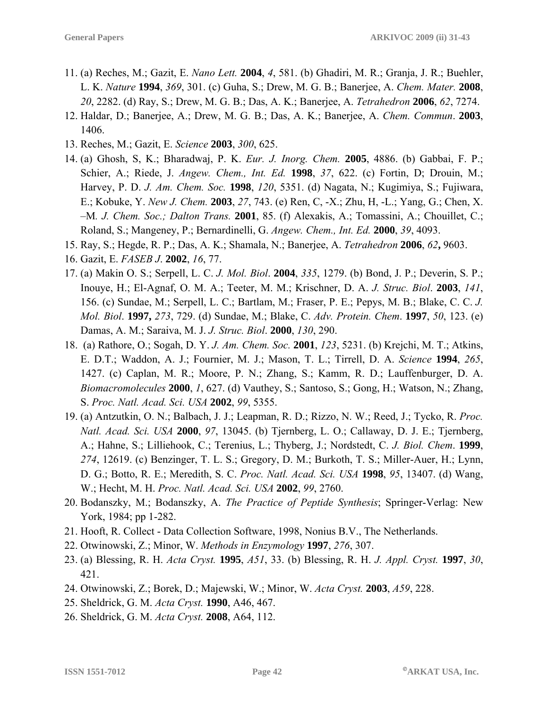- 11. (a) Reches, M.; Gazit, E. *Nano Lett.* **2004**, *4*, 581. (b) Ghadiri, M. R.; Granja, J. R.; Buehler, L. K. *Nature* **1994**, *369*, 301. (c) Guha, S.; Drew, M. G. B.; Banerjee, A. *Chem. Mater.* **2008**, *20*, 2282. (d) Ray, S.; Drew, M. G. B.; Das, A. K.; Banerjee, A. *Tetrahedron* **2006**, *62*, 7274.
- 12. Haldar, D.; Banerjee, A.; Drew, M. G. B.; Das, A. K.; Banerjee, A. *Chem. Commun*. **2003**, 1406.
- 13. Reches, M.; Gazit, E. *Science* **2003**, *300*, 625.
- 14. (a) Ghosh, S, K.; Bharadwaj, P. K. *Eur. J. Inorg. Chem.* **2005**, 4886. (b) Gabbai, F. P.; Schier, A.; Riede, J. *Angew. Chem., Int. Ed.* **1998**, *37*, 622. (c) Fortin, D; Drouin, M.; Harvey, P. D. *J. Am. Chem. Soc.* **1998**, *120*, 5351. (d) Nagata, N.; Kugimiya, S.; Fujiwara, E.; Kobuke, Y. *New J. Chem.* **2003**, *27*, 743. (e) Ren, C, -X.; Zhu, H, -L.; Yang, G.; Chen, X. –M*. J. Chem. Soc.; Dalton Trans.* **2001**, 85. (f) Alexakis, A.; Tomassini, A.; Chouillet, C.; Roland, S.; Mangeney, P.; Bernardinelli, G. *Angew. Chem., Int. Ed.* **2000**, *39*, 4093.
- 15. Ray, S.; Hegde, R. P.; Das, A. K.; Shamala, N.; Banerjee, A. *Tetrahedron* **2006**, *62***,** 9603.
- 16. Gazit, E. *FASEB J*. **2002**, *16*, 77.
- 17. (a) Makin O. S.; Serpell, L. C. *J. Mol. Biol*. **2004**, *335*, 1279. (b) Bond, J. P.; Deverin, S. P.; Inouye, H.; El-Agnaf, O. M. A.; Teeter, M. M.; Krischner, D. A. *J. Struc. Biol*. **2003**, *141*, 156. (c) Sundae, M.; Serpell, L. C.; Bartlam, M.; Fraser, P. E.; Pepys, M. B.; Blake, C. C. *J. Mol. Biol*. **1997,** *273*, 729. (d) Sundae, M.; Blake, C. *Adv. Protein. Chem*. **1997**, *50*, 123. (e) Damas, A. M.; Saraiva, M. J. *J. Struc. Biol*. **2000**, *130*, 290.
- 18. (a) Rathore, O.; Sogah, D. Y. *J. Am. Chem. Soc.* **2001**, *123*, 5231. (b) Krejchi, M. T.; Atkins, E. D.T.; Waddon, A. J.; Fournier, M. J.; Mason, T. L.; Tirrell, D. A. *Science* **1994**, *265*, 1427. (c) Caplan, M. R.; Moore, P. N.; Zhang, S.; Kamm, R. D.; Lauffenburger, D. A. *Biomacromolecules* **2000**, *1*, 627. (d) Vauthey, S.; Santoso, S.; Gong, H.; Watson, N.; Zhang, S. *Proc. Natl. Acad. Sci. USA* **2002**, *99*, 5355.
- 19. (a) Antzutkin, O. N.; Balbach, J. J.; Leapman, R. D.; Rizzo, N. W.; Reed, J.; Tycko, R. *Proc. Natl. Acad. Sci. USA* **2000**, *97*, 13045. (b) Tjernberg, L. O.; Callaway, D. J. E.; Tjernberg, A.; Hahne, S.; Lilliehook, C.; Terenius, L.; Thyberg, J.; Nordstedt, C. *J. Biol. Chem*. **1999**, *274*, 12619. (c) Benzinger, T. L. S.; Gregory, D. M.; Burkoth, T. S.; Miller-Auer, H.; Lynn, D. G.; Botto, R. E.; Meredith, S. C. *Proc. Natl. Acad. Sci. USA* **1998**, *95*, 13407. (d) Wang, W.; Hecht, M. H. *Proc. Natl. Acad. Sci. USA* **2002**, *99*, 2760.
- 20. Bodanszky, M.; Bodanszky, A. *The Practice of Peptide Synthesis*; Springer-Verlag: New York, 1984; pp 1-282.
- 21. Hooft, R. Collect Data Collection Software, 1998, Nonius B.V., The Netherlands.
- 22. Otwinowski, Z.; Minor, W. *Methods in Enzymology* **1997**, *276*, 307.
- 23. (a) Blessing, R. H. *Acta Cryst.* **1995**, *A51*, 33. (b) Blessing, R. H. *J. Appl. Cryst.* **1997**, *30*, 421.
- 24. Otwinowski, Z.; Borek, D.; Majewski, W.; Minor, W. *Acta Cryst.* **2003**, *A59*, 228.
- 25. Sheldrick, G. M. *Acta Cryst.* **1990**, A46, 467.
- 26. Sheldrick, G. M. *Acta Cryst.* **2008**, A64, 112.